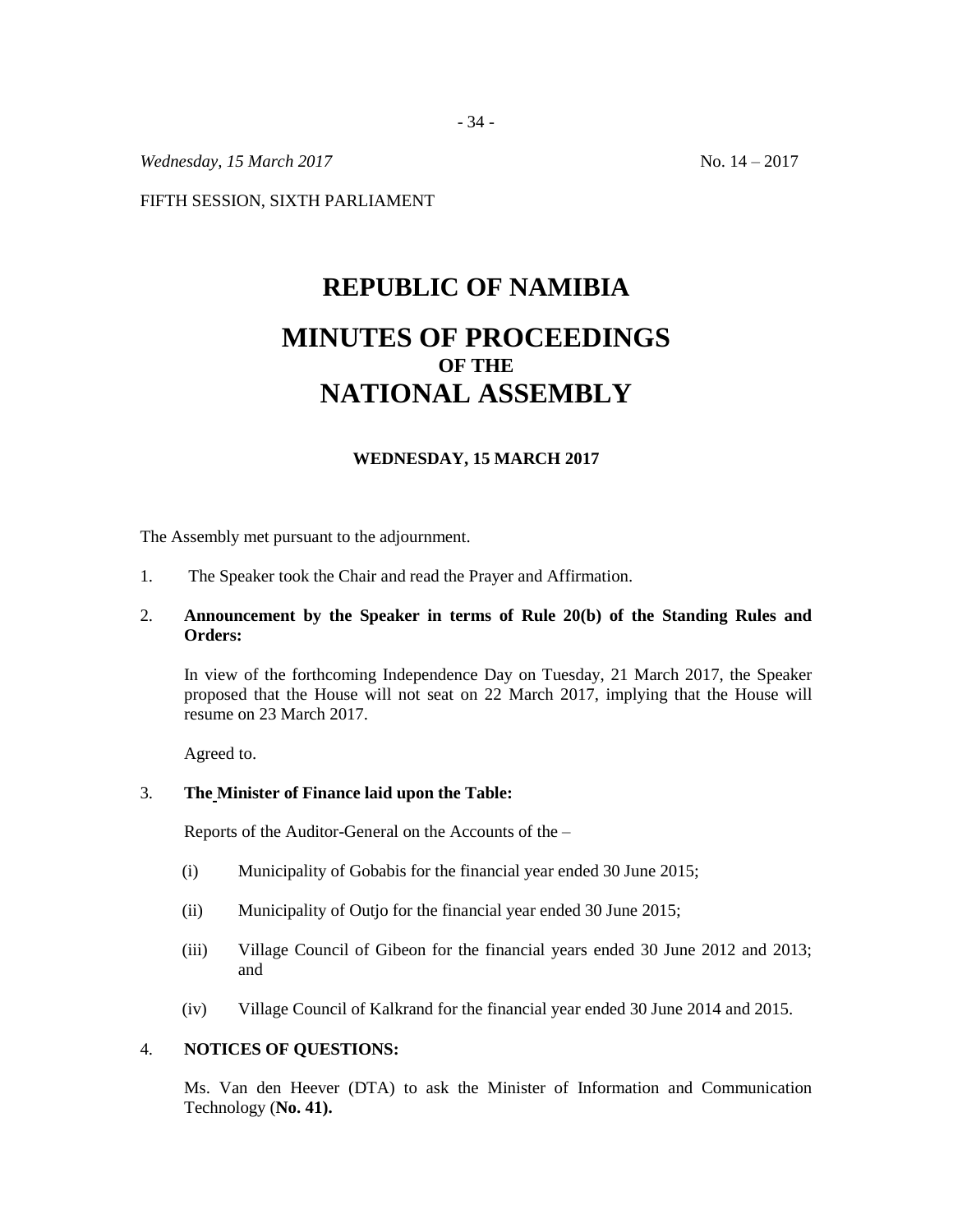*Wednesday,* 15 *March* 2017 10. 14 – 2017

FIFTH SESSION, SIXTH PARLIAMENT

# **REPUBLIC OF NAMIBIA MINUTES OF PROCEEDINGS OF THE NATIONAL ASSEMBLY**

# **WEDNESDAY, 15 MARCH 2017**

The Assembly met pursuant to the adjournment.

1. The Speaker took the Chair and read the Prayer and Affirmation.

# 2. **Announcement by the Speaker in terms of Rule 20(b) of the Standing Rules and Orders:**

In view of the forthcoming Independence Day on Tuesday, 21 March 2017, the Speaker proposed that the House will not seat on 22 March 2017, implying that the House will resume on 23 March 2017.

Agreed to.

#### 3. **The Minister of Finance laid upon the Table:**

Reports of the Auditor-General on the Accounts of the –

- (i) Municipality of Gobabis for the financial year ended 30 June 2015;
- (ii) Municipality of Outjo for the financial year ended 30 June 2015;
- (iii) Village Council of Gibeon for the financial years ended 30 June 2012 and 2013; and
- (iv) Village Council of Kalkrand for the financial year ended 30 June 2014 and 2015.

#### 4. **NOTICES OF QUESTIONS:**

Ms. Van den Heever (DTA) to ask the Minister of Information and Communication Technology (**No. 41).**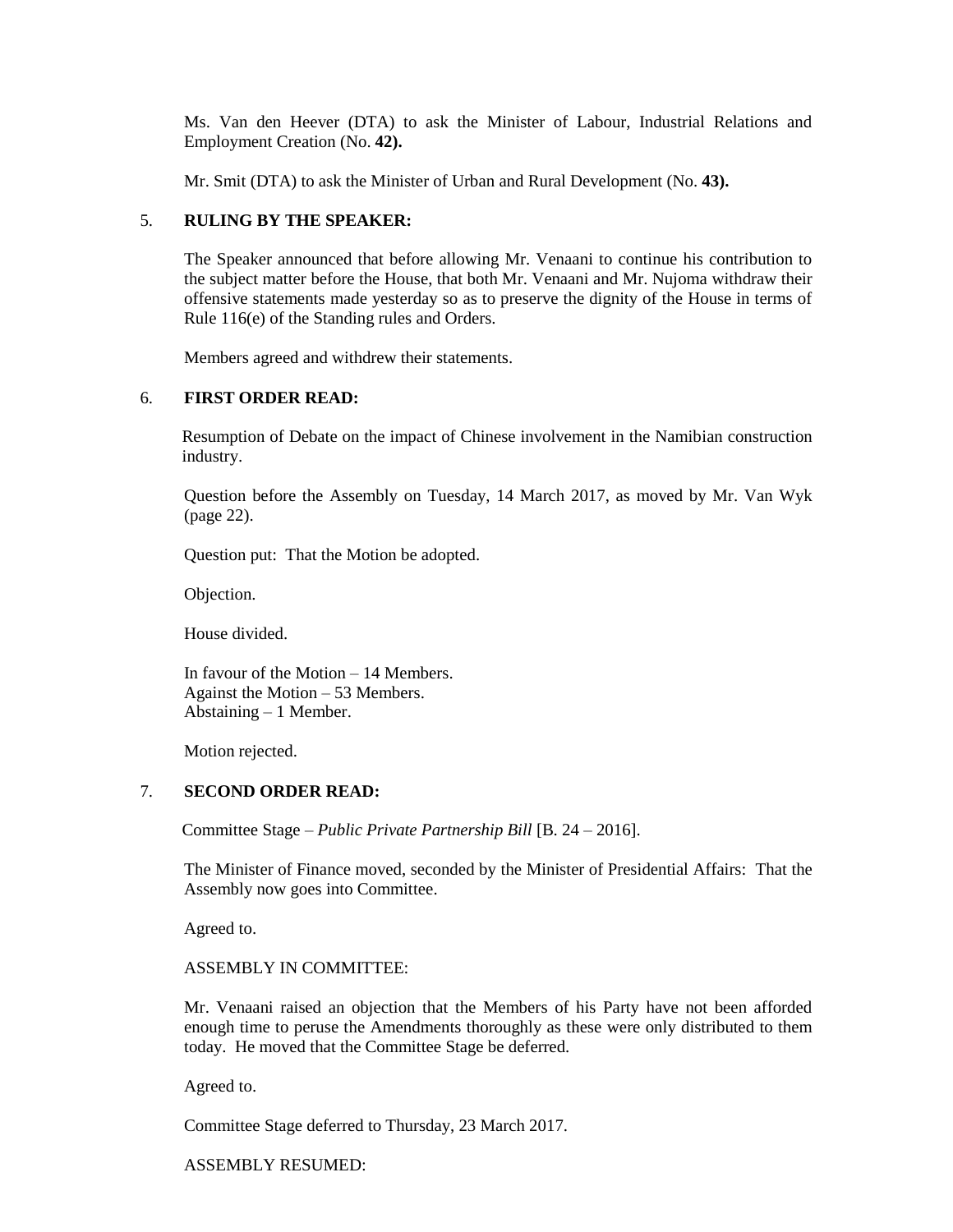Ms. Van den Heever (DTA) to ask the Minister of Labour, Industrial Relations and Employment Creation (No. **42).**

Mr. Smit (DTA) to ask the Minister of Urban and Rural Development (No. **43).**

# 5. **RULING BY THE SPEAKER:**

The Speaker announced that before allowing Mr. Venaani to continue his contribution to the subject matter before the House, that both Mr. Venaani and Mr. Nujoma withdraw their offensive statements made yesterday so as to preserve the dignity of the House in terms of Rule 116(e) of the Standing rules and Orders.

Members agreed and withdrew their statements.

# 6. **FIRST ORDER READ:**

Resumption of Debate on the impact of Chinese involvement in the Namibian construction industry.

Question before the Assembly on Tuesday, 14 March 2017, as moved by Mr. Van Wyk (page 22).

Question put: That the Motion be adopted.

Objection.

House divided.

In favour of the Motion – 14 Members. Against the Motion – 53 Members. Abstaining – 1 Member.

Motion rejected.

# 7. **SECOND ORDER READ:**

Committee Stage – *Public Private Partnership Bill* [B. 24 – 2016].

The Minister of Finance moved, seconded by the Minister of Presidential Affairs: That the Assembly now goes into Committee.

Agreed to.

ASSEMBLY IN COMMITTEE:

Mr. Venaani raised an objection that the Members of his Party have not been afforded enough time to peruse the Amendments thoroughly as these were only distributed to them today. He moved that the Committee Stage be deferred.

Agreed to.

Committee Stage deferred to Thursday, 23 March 2017.

ASSEMBLY RESUMED: